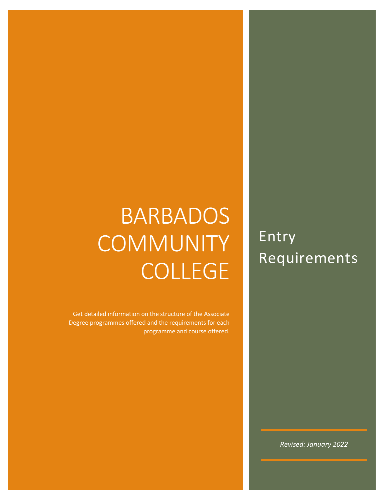# BARBADOS **COMMUNITY** COLLEGE

Get detailed information on the structure of the Associate Degree programmes offered and the requirements for each programme and course offered.

Entry Requirements

*Revised: January 2022*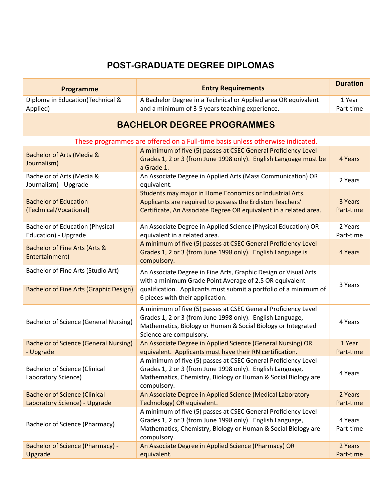### **POST-GRADUATE DEGREE DIPLOMAS**

| <b>Programme</b>                                                                    | <b>Entry Requirements</b>                                                                                                                                                                                                           | <b>Duration</b>      |
|-------------------------------------------------------------------------------------|-------------------------------------------------------------------------------------------------------------------------------------------------------------------------------------------------------------------------------------|----------------------|
| Diploma in Education(Technical &<br>Applied)                                        | A Bachelor Degree in a Technical or Applied area OR equivalent<br>and a minimum of 3-5 years teaching experience.                                                                                                                   | 1 Year<br>Part-time  |
|                                                                                     | <b>BACHELOR DEGREE PROGRAMMES</b>                                                                                                                                                                                                   |                      |
|                                                                                     | These programmes are offered on a Full-time basis unless otherwise indicated.                                                                                                                                                       |                      |
| Bachelor of Arts (Media &<br>Journalism)                                            | A minimum of five (5) passes at CSEC General Proficiency Level<br>Grades 1, 2 or 3 (from June 1998 only). English Language must be<br>a Grade 1.                                                                                    | 4 Years              |
| Bachelor of Arts (Media &<br>Journalism) - Upgrade                                  | An Associate Degree in Applied Arts (Mass Communication) OR<br>equivalent.                                                                                                                                                          | 2 Years              |
| <b>Bachelor of Education</b><br>(Technical/Vocational)                              | Students may major in Home Economics or Industrial Arts.<br>Applicants are required to possess the Erdiston Teachers'<br>Certificate, An Associate Degree OR equivalent in a related area.                                          | 3 Years<br>Part-time |
| <b>Bachelor of Education (Physical</b><br>Education) - Upgrade                      | An Associate Degree in Applied Science (Physical Education) OR<br>equivalent in a related area.                                                                                                                                     | 2 Years<br>Part-time |
| Bachelor of Fine Arts (Arts &<br>Entertainment)                                     | A minimum of five (5) passes at CSEC General Proficiency Level<br>Grades 1, 2 or 3 (from June 1998 only). English Language is<br>compulsory.                                                                                        | 4 Years              |
| Bachelor of Fine Arts (Studio Art)<br><b>Bachelor of Fine Arts (Graphic Design)</b> | An Associate Degree in Fine Arts, Graphic Design or Visual Arts<br>with a minimum Grade Point Average of 2.5 OR equivalent<br>qualification. Applicants must submit a portfolio of a minimum of<br>6 pieces with their application. | 3 Years              |
| <b>Bachelor of Science (General Nursing)</b>                                        | A minimum of five (5) passes at CSEC General Proficiency Level<br>Grades 1, 2 or 3 (from June 1998 only). English Language,<br>Mathematics, Biology or Human & Social Biology or Integrated<br>Science are compulsory.              | 4 Years              |
| <b>Bachelor of Science (General Nursing)</b><br>- Upgrade                           | An Associate Degree in Applied Science (General Nursing) OR<br>equivalent. Applicants must have their RN certification.                                                                                                             | 1 Year<br>Part-time  |
| <b>Bachelor of Science (Clinical</b><br>Laboratory Science)                         | A minimum of five (5) passes at CSEC General Proficiency Level<br>Grades 1, 2 or 3 (from June 1998 only). English Language,<br>Mathematics, Chemistry, Biology or Human & Social Biology are<br>compulsory.                         | 4 Years              |
| <b>Bachelor of Science (Clinical</b>                                                | An Associate Degree in Applied Science (Medical Laboratory                                                                                                                                                                          | 2 Years              |
| Laboratory Science) - Upgrade                                                       | Technology) OR equivalent.                                                                                                                                                                                                          | Part-time            |
| Bachelor of Science (Pharmacy)                                                      | A minimum of five (5) passes at CSEC General Proficiency Level<br>Grades 1, 2 or 3 (from June 1998 only). English Language,<br>Mathematics, Chemistry, Biology or Human & Social Biology are<br>compulsory.                         | 4 Years<br>Part-time |
| <b>Bachelor of Science (Pharmacy) -</b><br>Upgrade                                  | An Associate Degree in Applied Science (Pharmacy) OR<br>equivalent.                                                                                                                                                                 | 2 Years<br>Part-time |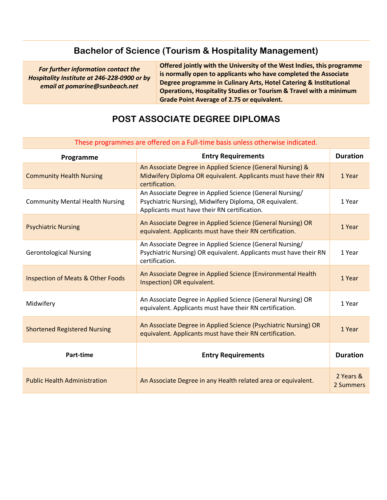### **Bachelor of Science (Tourism & Hospitality Management)**

*For further information contact the Hospitality Institute at 246-228-0900 or by email at pomarine@sunbeach.net*

**Offered jointly with the University of the West Indies, this programme is normally open to applicants who have completed the Associate Degree programme in Culinary Arts, Hotel Catering & Institutional Operations, Hospitality Studies or Tourism & Travel with a minimum Grade Point Average of 2.75 or equivalent.**

### **POST ASSOCIATE DEGREE DIPLOMAS**

| mese programmes are onerea on a run unic basis aniess outerwise indicated. |                                                                                                                                                                     |                        |
|----------------------------------------------------------------------------|---------------------------------------------------------------------------------------------------------------------------------------------------------------------|------------------------|
| Programme                                                                  | <b>Entry Requirements</b>                                                                                                                                           | <b>Duration</b>        |
| <b>Community Health Nursing</b>                                            | An Associate Degree in Applied Science (General Nursing) &<br>Midwifery Diploma OR equivalent. Applicants must have their RN<br>certification.                      | 1 Year                 |
| <b>Community Mental Health Nursing</b>                                     | An Associate Degree in Applied Science (General Nursing/<br>Psychiatric Nursing), Midwifery Diploma, OR equivalent.<br>Applicants must have their RN certification. | 1 Year                 |
| <b>Psychiatric Nursing</b>                                                 | An Associate Degree in Applied Science (General Nursing) OR<br>equivalent. Applicants must have their RN certification.                                             | 1 Year                 |
| <b>Gerontological Nursing</b>                                              | An Associate Degree in Applied Science (General Nursing/<br>Psychiatric Nursing) OR equivalent. Applicants must have their RN<br>certification.                     | 1 Year                 |
| <b>Inspection of Meats &amp; Other Foods</b>                               | An Associate Degree in Applied Science (Environmental Health<br>Inspection) OR equivalent.                                                                          | 1 Year                 |
| Midwifery                                                                  | An Associate Degree in Applied Science (General Nursing) OR<br>equivalent. Applicants must have their RN certification.                                             | 1 Year                 |
| <b>Shortened Registered Nursing</b>                                        | An Associate Degree in Applied Science (Psychiatric Nursing) OR<br>equivalent. Applicants must have their RN certification.                                         | 1 Year                 |
| Part-time                                                                  | <b>Entry Requirements</b>                                                                                                                                           | <b>Duration</b>        |
| <b>Public Health Administration</b>                                        | An Associate Degree in any Health related area or equivalent.                                                                                                       | 2 Years &<br>2 Summers |

#### These programmes are offered on a Full-time basis unless otherwise indicated.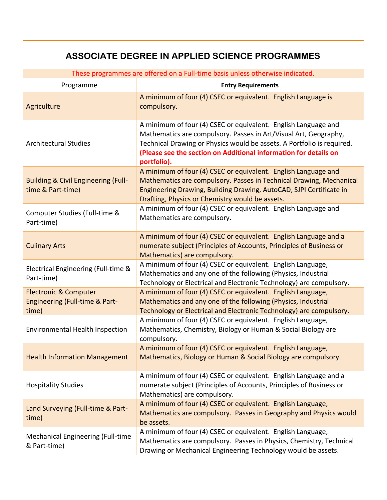### **ASSOCIATE DEGREE IN APPLIED SCIENCE PROGRAMMES**

| These programmes are offered on a Full-time basis unless otherwise indicated. |                                                                                                                                                                                                                                                                                                 |  |
|-------------------------------------------------------------------------------|-------------------------------------------------------------------------------------------------------------------------------------------------------------------------------------------------------------------------------------------------------------------------------------------------|--|
| Programme                                                                     | <b>Entry Requirements</b>                                                                                                                                                                                                                                                                       |  |
| Agriculture                                                                   | A minimum of four (4) CSEC or equivalent. English Language is<br>compulsory.                                                                                                                                                                                                                    |  |
| <b>Architectural Studies</b>                                                  | A minimum of four (4) CSEC or equivalent. English Language and<br>Mathematics are compulsory. Passes in Art/Visual Art, Geography,<br>Technical Drawing or Physics would be assets. A Portfolio is required.<br>(Please see the section on Additional information for details on<br>portfolio). |  |
| <b>Building &amp; Civil Engineering (Full-</b><br>time & Part-time)           | A minimum of four (4) CSEC or equivalent. English Language and<br>Mathematics are compulsory. Passes in Technical Drawing, Mechanical<br>Engineering Drawing, Building Drawing, AutoCAD, SJPI Certificate in<br>Drafting, Physics or Chemistry would be assets.                                 |  |
| Computer Studies (Full-time &<br>Part-time)                                   | A minimum of four (4) CSEC or equivalent. English Language and<br>Mathematics are compulsory.                                                                                                                                                                                                   |  |
| <b>Culinary Arts</b>                                                          | A minimum of four (4) CSEC or equivalent. English Language and a<br>numerate subject (Principles of Accounts, Principles of Business or<br>Mathematics) are compulsory.                                                                                                                         |  |
| Electrical Engineering (Full-time &<br>Part-time)                             | A minimum of four (4) CSEC or equivalent. English Language,<br>Mathematics and any one of the following (Physics, Industrial<br>Technology or Electrical and Electronic Technology) are compulsory.                                                                                             |  |
| <b>Electronic &amp; Computer</b><br>Engineering (Full-time & Part-<br>time)   | A minimum of four (4) CSEC or equivalent. English Language,<br>Mathematics and any one of the following (Physics, Industrial<br>Technology or Electrical and Electronic Technology) are compulsory.                                                                                             |  |
| <b>Environmental Health Inspection</b>                                        | A minimum of four (4) CSEC or equivalent. English Language,<br>Mathematics, Chemistry, Biology or Human & Social Biology are<br>compulsory.                                                                                                                                                     |  |
| <b>Health Information Management</b>                                          | A minimum of four (4) CSEC or equivalent. English Language,<br>Mathematics, Biology or Human & Social Biology are compulsory.                                                                                                                                                                   |  |
| <b>Hospitality Studies</b>                                                    | A minimum of four (4) CSEC or equivalent. English Language and a<br>numerate subject (Principles of Accounts, Principles of Business or<br>Mathematics) are compulsory.                                                                                                                         |  |
| Land Surveying (Full-time & Part-<br>time)                                    | A minimum of four (4) CSEC or equivalent. English Language,<br>Mathematics are compulsory. Passes in Geography and Physics would<br>be assets.                                                                                                                                                  |  |
| Mechanical Engineering (Full-time<br>& Part-time)                             | A minimum of four (4) CSEC or equivalent. English Language,<br>Mathematics are compulsory. Passes in Physics, Chemistry, Technical<br>Drawing or Mechanical Engineering Technology would be assets.                                                                                             |  |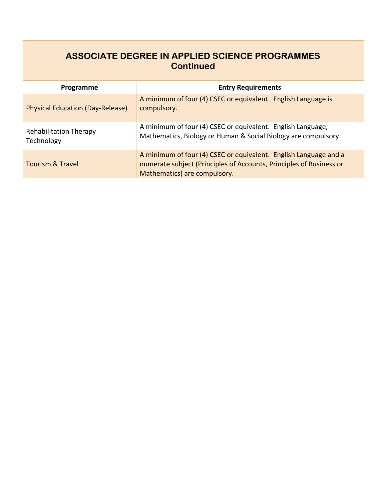### **ASSOCIATE DEGREE IN APPLIED SCIENCE PROGRAMMES Continued**

| Programme                                   | <b>Entry Requirements</b>                                                                                                                                               |
|---------------------------------------------|-------------------------------------------------------------------------------------------------------------------------------------------------------------------------|
| <b>Physical Education (Day-Release)</b>     | A minimum of four (4) CSEC or equivalent. English Language is<br>compulsory.                                                                                            |
| <b>Rehabilitation Therapy</b><br>Technology | A minimum of four (4) CSEC or equivalent. English Language,<br>Mathematics, Biology or Human & Social Biology are compulsory.                                           |
| <b>Tourism &amp; Travel</b>                 | A minimum of four (4) CSEC or equivalent. English Language and a<br>numerate subject (Principles of Accounts, Principles of Business or<br>Mathematics) are compulsory. |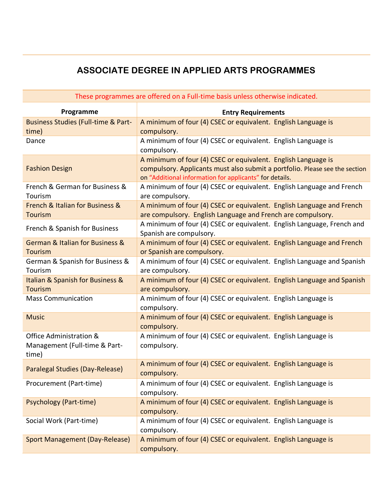### **ASSOCIATE DEGREE IN APPLIED ARTS PROGRAMMES**

| These programmes are offered on a Full-time basis unless otherwise indicated. |                                                                                                                                                                                                         |  |
|-------------------------------------------------------------------------------|---------------------------------------------------------------------------------------------------------------------------------------------------------------------------------------------------------|--|
| Programme                                                                     | <b>Entry Requirements</b>                                                                                                                                                                               |  |
| <b>Business Studies (Full-time &amp; Part-</b><br>time)                       | A minimum of four (4) CSEC or equivalent. English Language is<br>compulsory.                                                                                                                            |  |
| Dance                                                                         | A minimum of four (4) CSEC or equivalent. English Language is<br>compulsory.                                                                                                                            |  |
| <b>Fashion Design</b>                                                         | A minimum of four (4) CSEC or equivalent. English Language is<br>compulsory. Applicants must also submit a portfolio. Please see the section<br>on "Additional information for applicants" for details. |  |
| French & German for Business &<br>Tourism                                     | A minimum of four (4) CSEC or equivalent. English Language and French<br>are compulsory.                                                                                                                |  |
| French & Italian for Business &<br><b>Tourism</b>                             | A minimum of four (4) CSEC or equivalent. English Language and French<br>are compulsory. English Language and French are compulsory.                                                                    |  |
| French & Spanish for Business                                                 | A minimum of four (4) CSEC or equivalent. English Language, French and<br>Spanish are compulsory.                                                                                                       |  |
| German & Italian for Business &<br><b>Tourism</b>                             | A minimum of four (4) CSEC or equivalent. English Language and French<br>or Spanish are compulsory.                                                                                                     |  |
| German & Spanish for Business &<br>Tourism                                    | A minimum of four (4) CSEC or equivalent. English Language and Spanish<br>are compulsory.                                                                                                               |  |
| Italian & Spanish for Business &<br><b>Tourism</b>                            | A minimum of four (4) CSEC or equivalent. English Language and Spanish<br>are compulsory.                                                                                                               |  |
| <b>Mass Communication</b>                                                     | A minimum of four (4) CSEC or equivalent. English Language is<br>compulsory.                                                                                                                            |  |
| <b>Music</b>                                                                  | A minimum of four (4) CSEC or equivalent. English Language is<br>compulsory.                                                                                                                            |  |
| Office Administration &<br>Management (Full-time & Part-<br>time)             | A minimum of four (4) CSEC or equivalent. English Language is<br>compulsory.                                                                                                                            |  |
| Paralegal Studies (Day-Release)                                               | A minimum of four (4) CSEC or equivalent. English Language is<br>compulsory.                                                                                                                            |  |
| Procurement (Part-time)                                                       | A minimum of four (4) CSEC or equivalent. English Language is<br>compulsory.                                                                                                                            |  |
| <b>Psychology (Part-time)</b>                                                 | A minimum of four (4) CSEC or equivalent. English Language is<br>compulsory.                                                                                                                            |  |
| Social Work (Part-time)                                                       | A minimum of four (4) CSEC or equivalent. English Language is<br>compulsory.                                                                                                                            |  |
| Sport Management (Day-Release)                                                | A minimum of four (4) CSEC or equivalent. English Language is<br>compulsory.                                                                                                                            |  |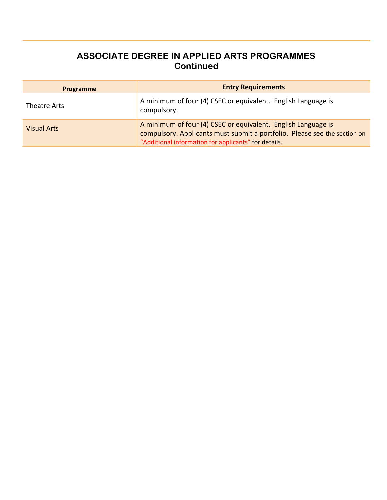### **ASSOCIATE DEGREE IN APPLIED ARTS PROGRAMMES Continued**

| Programme          | <b>Entry Requirements</b>                                                                                                                                                                          |
|--------------------|----------------------------------------------------------------------------------------------------------------------------------------------------------------------------------------------------|
| Theatre Arts       | A minimum of four (4) CSEC or equivalent. English Language is<br>compulsory.                                                                                                                       |
| <b>Visual Arts</b> | A minimum of four (4) CSEC or equivalent. English Language is<br>compulsory. Applicants must submit a portfolio. Please see the section on<br>"Additional information for applicants" for details. |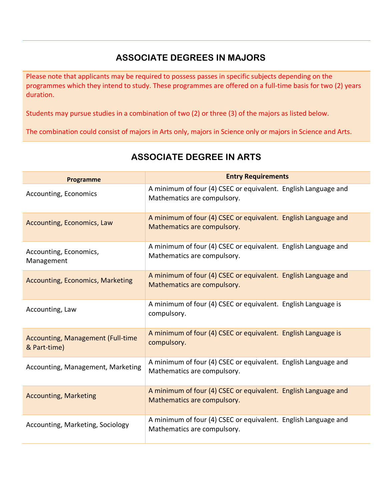### **ASSOCIATE DEGREES IN MAJORS**

Please note that applicants may be required to possess passes in specific subjects depending on the programmes which they intend to study. These programmes are offered on a full-time basis for two (2) years duration.

Students may pursue studies in a combination of two (2) or three (3) of the majors as listed below.

The combination could consist of majors in Arts only, majors in Science only or majors in Science and Arts.

| <b>Programme</b>                                         | <b>Entry Requirements</b>                                                                     |
|----------------------------------------------------------|-----------------------------------------------------------------------------------------------|
| Accounting, Economics                                    | A minimum of four (4) CSEC or equivalent. English Language and<br>Mathematics are compulsory. |
| Accounting, Economics, Law                               | A minimum of four (4) CSEC or equivalent. English Language and<br>Mathematics are compulsory. |
| Accounting, Economics,<br>Management                     | A minimum of four (4) CSEC or equivalent. English Language and<br>Mathematics are compulsory. |
| <b>Accounting, Economics, Marketing</b>                  | A minimum of four (4) CSEC or equivalent. English Language and<br>Mathematics are compulsory. |
| Accounting, Law                                          | A minimum of four (4) CSEC or equivalent. English Language is<br>compulsory.                  |
| <b>Accounting, Management (Full-time</b><br>& Part-time) | A minimum of four (4) CSEC or equivalent. English Language is<br>compulsory.                  |
| Accounting, Management, Marketing                        | A minimum of four (4) CSEC or equivalent. English Language and<br>Mathematics are compulsory. |
| <b>Accounting, Marketing</b>                             | A minimum of four (4) CSEC or equivalent. English Language and<br>Mathematics are compulsory. |
| Accounting, Marketing, Sociology                         | A minimum of four (4) CSEC or equivalent. English Language and<br>Mathematics are compulsory. |

# **ASSOCIATE DEGREE IN ARTS**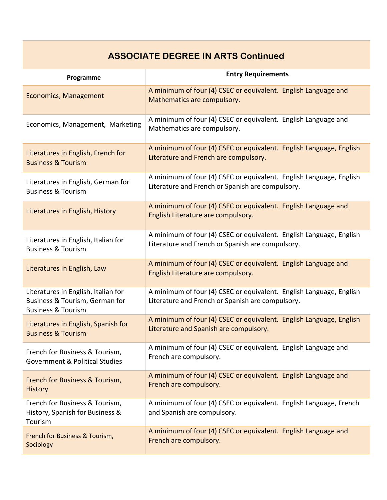### **ASSOCIATE DEGREE IN ARTS Continued**

| Programme                                                                                              | <b>Entry Requirements</b>                                                                                               |
|--------------------------------------------------------------------------------------------------------|-------------------------------------------------------------------------------------------------------------------------|
| <b>Economics, Management</b>                                                                           | A minimum of four (4) CSEC or equivalent. English Language and<br>Mathematics are compulsory.                           |
| Economics, Management, Marketing                                                                       | A minimum of four (4) CSEC or equivalent. English Language and<br>Mathematics are compulsory.                           |
| Literatures in English, French for                                                                     | A minimum of four (4) CSEC or equivalent. English Language, English                                                     |
| <b>Business &amp; Tourism</b>                                                                          | Literature and French are compulsory.                                                                                   |
| Literatures in English, German for                                                                     | A minimum of four (4) CSEC or equivalent. English Language, English                                                     |
| <b>Business &amp; Tourism</b>                                                                          | Literature and French or Spanish are compulsory.                                                                        |
| Literatures in English, History                                                                        | A minimum of four (4) CSEC or equivalent. English Language and<br>English Literature are compulsory.                    |
| Literatures in English, Italian for                                                                    | A minimum of four (4) CSEC or equivalent. English Language, English                                                     |
| <b>Business &amp; Tourism</b>                                                                          | Literature and French or Spanish are compulsory.                                                                        |
| Literatures in English, Law                                                                            | A minimum of four (4) CSEC or equivalent. English Language and<br>English Literature are compulsory.                    |
| Literatures in English, Italian for<br>Business & Tourism, German for<br><b>Business &amp; Tourism</b> | A minimum of four (4) CSEC or equivalent. English Language, English<br>Literature and French or Spanish are compulsory. |
| Literatures in English, Spanish for                                                                    | A minimum of four (4) CSEC or equivalent. English Language, English                                                     |
| <b>Business &amp; Tourism</b>                                                                          | Literature and Spanish are compulsory.                                                                                  |
| French for Business & Tourism,                                                                         | A minimum of four (4) CSEC or equivalent. English Language and                                                          |
| <b>Government &amp; Political Studies</b>                                                              | French are compulsory.                                                                                                  |
| French for Business & Tourism,                                                                         | A minimum of four (4) CSEC or equivalent. English Language and                                                          |
| <b>History</b>                                                                                         | French are compulsory.                                                                                                  |
| French for Business & Tourism,<br>History, Spanish for Business &<br>Tourism                           | A minimum of four (4) CSEC or equivalent. English Language, French<br>and Spanish are compulsory.                       |
| French for Business & Tourism,                                                                         | A minimum of four (4) CSEC or equivalent. English Language and                                                          |
| Sociology                                                                                              | French are compulsory.                                                                                                  |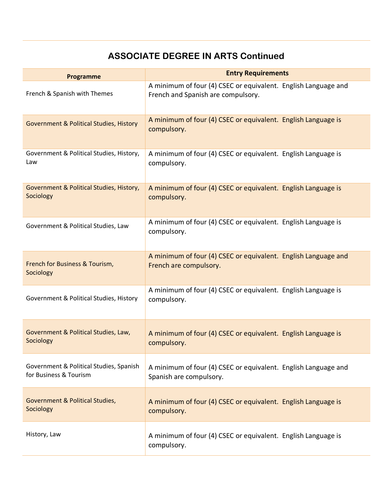### **ASSOCIATE DEGREE IN ARTS Continued**

| Programme                                                         | <b>Entry Requirements</b>                                                                            |  |
|-------------------------------------------------------------------|------------------------------------------------------------------------------------------------------|--|
| French & Spanish with Themes                                      | A minimum of four (4) CSEC or equivalent. English Language and<br>French and Spanish are compulsory. |  |
| <b>Government &amp; Political Studies, History</b>                | A minimum of four (4) CSEC or equivalent. English Language is<br>compulsory.                         |  |
| Government & Political Studies, History,<br>Law                   | A minimum of four (4) CSEC or equivalent. English Language is<br>compulsory.                         |  |
| Government & Political Studies, History,<br>Sociology             | A minimum of four (4) CSEC or equivalent. English Language is<br>compulsory.                         |  |
| Government & Political Studies, Law                               | A minimum of four (4) CSEC or equivalent. English Language is<br>compulsory.                         |  |
| French for Business & Tourism,<br>Sociology                       | A minimum of four (4) CSEC or equivalent. English Language and<br>French are compulsory.             |  |
| Government & Political Studies, History                           | A minimum of four (4) CSEC or equivalent. English Language is<br>compulsory.                         |  |
| Government & Political Studies, Law,<br>Sociology                 | A minimum of four (4) CSEC or equivalent. English Language is<br>compulsory.                         |  |
| Government & Political Studies, Spanish<br>for Business & Tourism | A minimum of four (4) CSEC or equivalent. English Language and<br>Spanish are compulsory.            |  |
| <b>Government &amp; Political Studies,</b><br>Sociology           | A minimum of four (4) CSEC or equivalent. English Language is<br>compulsory.                         |  |
| History, Law                                                      | A minimum of four (4) CSEC or equivalent. English Language is<br>compulsory.                         |  |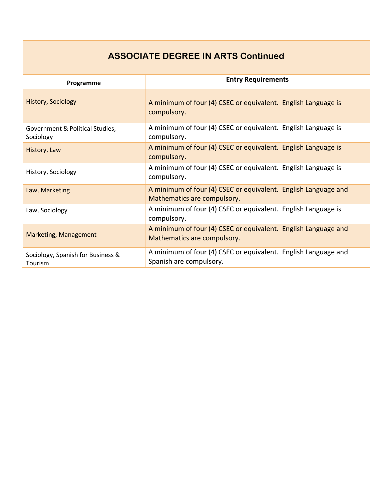### **ASSOCIATE DEGREE IN ARTS Continued**

| Programme                                           | <b>Entry Requirements</b>                                                                     |
|-----------------------------------------------------|-----------------------------------------------------------------------------------------------|
| <b>History, Sociology</b>                           | A minimum of four (4) CSEC or equivalent. English Language is<br>compulsory.                  |
| Government & Political Studies,<br>Sociology        | A minimum of four (4) CSEC or equivalent. English Language is<br>compulsory.                  |
| History, Law                                        | A minimum of four (4) CSEC or equivalent. English Language is<br>compulsory.                  |
| History, Sociology                                  | A minimum of four (4) CSEC or equivalent. English Language is<br>compulsory.                  |
| Law, Marketing                                      | A minimum of four (4) CSEC or equivalent. English Language and<br>Mathematics are compulsory. |
| Law, Sociology                                      | A minimum of four (4) CSEC or equivalent. English Language is<br>compulsory.                  |
| <b>Marketing, Management</b>                        | A minimum of four (4) CSEC or equivalent. English Language and<br>Mathematics are compulsory. |
| Sociology, Spanish for Business &<br><b>Tourism</b> | A minimum of four (4) CSEC or equivalent. English Language and<br>Spanish are compulsory.     |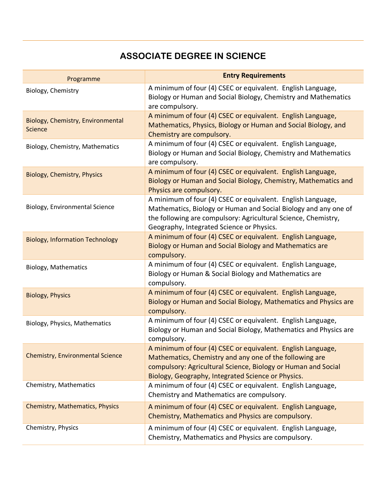### **ASSOCIATE DEGREE IN SCIENCE**

| Programme                                           | <b>Entry Requirements</b>                                                                                                                                                                                                                     |
|-----------------------------------------------------|-----------------------------------------------------------------------------------------------------------------------------------------------------------------------------------------------------------------------------------------------|
| Biology, Chemistry                                  | A minimum of four (4) CSEC or equivalent. English Language,<br>Biology or Human and Social Biology, Chemistry and Mathematics<br>are compulsory.                                                                                              |
| Biology, Chemistry, Environmental<br><b>Science</b> | A minimum of four (4) CSEC or equivalent. English Language,<br>Mathematics, Physics, Biology or Human and Social Biology, and<br>Chemistry are compulsory.                                                                                    |
| Biology, Chemistry, Mathematics                     | A minimum of four (4) CSEC or equivalent. English Language,<br>Biology or Human and Social Biology, Chemistry and Mathematics<br>are compulsory.                                                                                              |
| <b>Biology, Chemistry, Physics</b>                  | A minimum of four (4) CSEC or equivalent. English Language,<br>Biology or Human and Social Biology, Chemistry, Mathematics and<br>Physics are compulsory.                                                                                     |
| Biology, Environmental Science                      | A minimum of four (4) CSEC or equivalent. English Language,<br>Mathematics, Biology or Human and Social Biology and any one of<br>the following are compulsory: Agricultural Science, Chemistry,<br>Geography, Integrated Science or Physics. |
| <b>Biology, Information Technology</b>              | A minimum of four (4) CSEC or equivalent. English Language,<br>Biology or Human and Social Biology and Mathematics are<br>compulsory.                                                                                                         |
| <b>Biology, Mathematics</b>                         | A minimum of four (4) CSEC or equivalent. English Language,<br>Biology or Human & Social Biology and Mathematics are<br>compulsory.                                                                                                           |
| <b>Biology, Physics</b>                             | A minimum of four (4) CSEC or equivalent. English Language,<br>Biology or Human and Social Biology, Mathematics and Physics are<br>compulsory.                                                                                                |
| Biology, Physics, Mathematics                       | A minimum of four (4) CSEC or equivalent. English Language,<br>Biology or Human and Social Biology, Mathematics and Physics are<br>compulsory.                                                                                                |
| <b>Chemistry, Environmental Science</b>             | A minimum of four (4) CSEC or equivalent. English Language,<br>Mathematics, Chemistry and any one of the following are<br>compulsory: Agricultural Science, Biology or Human and Social<br>Biology, Geography, Integrated Science or Physics. |
| Chemistry, Mathematics                              | A minimum of four (4) CSEC or equivalent. English Language,<br>Chemistry and Mathematics are compulsory.                                                                                                                                      |
| <b>Chemistry, Mathematics, Physics</b>              | A minimum of four (4) CSEC or equivalent. English Language,<br>Chemistry, Mathematics and Physics are compulsory.                                                                                                                             |
| Chemistry, Physics                                  | A minimum of four (4) CSEC or equivalent. English Language,<br>Chemistry, Mathematics and Physics are compulsory.                                                                                                                             |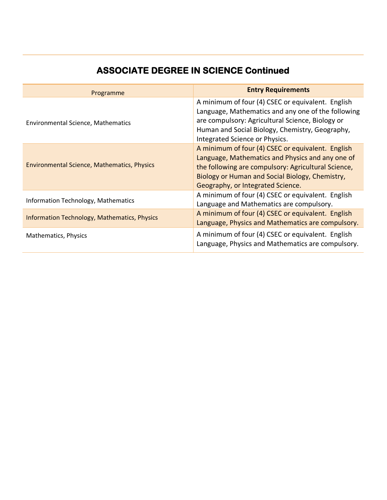| Programme                                           | <b>Entry Requirements</b>                                                                                                                                                                                                                            |
|-----------------------------------------------------|------------------------------------------------------------------------------------------------------------------------------------------------------------------------------------------------------------------------------------------------------|
| <b>Environmental Science, Mathematics</b>           | A minimum of four (4) CSEC or equivalent. English<br>Language, Mathematics and any one of the following<br>are compulsory: Agricultural Science, Biology or<br>Human and Social Biology, Chemistry, Geography,<br>Integrated Science or Physics.     |
| <b>Environmental Science, Mathematics, Physics</b>  | A minimum of four (4) CSEC or equivalent. English<br>Language, Mathematics and Physics and any one of<br>the following are compulsory: Agricultural Science,<br>Biology or Human and Social Biology, Chemistry,<br>Geography, or Integrated Science. |
| <b>Information Technology, Mathematics</b>          | A minimum of four (4) CSEC or equivalent. English<br>Language and Mathematics are compulsory.                                                                                                                                                        |
| <b>Information Technology, Mathematics, Physics</b> | A minimum of four (4) CSEC or equivalent. English<br>Language, Physics and Mathematics are compulsory.                                                                                                                                               |
| Mathematics, Physics                                | A minimum of four (4) CSEC or equivalent. English<br>Language, Physics and Mathematics are compulsory.                                                                                                                                               |

# **ASSOCIATE DEGREE IN SCIENCE Continued**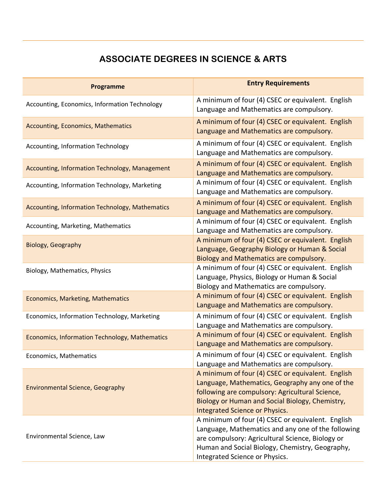### **ASSOCIATE DEGREES IN SCIENCE & ARTS**

| <b>Programme</b>                                | <b>Entry Requirements</b>                                                                                                                                                                                                                        |
|-------------------------------------------------|--------------------------------------------------------------------------------------------------------------------------------------------------------------------------------------------------------------------------------------------------|
| Accounting, Economics, Information Technology   | A minimum of four (4) CSEC or equivalent. English<br>Language and Mathematics are compulsory.                                                                                                                                                    |
| <b>Accounting, Economics, Mathematics</b>       | A minimum of four (4) CSEC or equivalent. English<br>Language and Mathematics are compulsory.                                                                                                                                                    |
| Accounting, Information Technology              | A minimum of four (4) CSEC or equivalent. English<br>Language and Mathematics are compulsory.                                                                                                                                                    |
| Accounting, Information Technology, Management  | A minimum of four (4) CSEC or equivalent. English<br>Language and Mathematics are compulsory.                                                                                                                                                    |
| Accounting, Information Technology, Marketing   | A minimum of four (4) CSEC or equivalent. English<br>Language and Mathematics are compulsory.                                                                                                                                                    |
| Accounting, Information Technology, Mathematics | A minimum of four (4) CSEC or equivalent. English<br>Language and Mathematics are compulsory.                                                                                                                                                    |
| Accounting, Marketing, Mathematics              | A minimum of four (4) CSEC or equivalent. English<br>Language and Mathematics are compulsory.                                                                                                                                                    |
| Biology, Geography                              | A minimum of four (4) CSEC or equivalent. English<br>Language, Geography Biology or Human & Social<br>Biology and Mathematics are compulsory.                                                                                                    |
| Biology, Mathematics, Physics                   | A minimum of four (4) CSEC or equivalent. English<br>Language, Physics, Biology or Human & Social<br>Biology and Mathematics are compulsory.                                                                                                     |
| Economics, Marketing, Mathematics               | A minimum of four (4) CSEC or equivalent. English<br>Language and Mathematics are compulsory.                                                                                                                                                    |
| Economics, Information Technology, Marketing    | A minimum of four (4) CSEC or equivalent. English<br>Language and Mathematics are compulsory.                                                                                                                                                    |
| Economics, Information Technology, Mathematics  | A minimum of four (4) CSEC or equivalent. English<br>Language and Mathematics are compulsory.                                                                                                                                                    |
| Economics, Mathematics                          | A minimum of four (4) CSEC or equivalent. English<br>Language and Mathematics are compulsory.                                                                                                                                                    |
| <b>Environmental Science, Geography</b>         | A minimum of four (4) CSEC or equivalent. English<br>Language, Mathematics, Geography any one of the<br>following are compulsory: Agricultural Science,<br>Biology or Human and Social Biology, Chemistry,<br>Integrated Science or Physics.     |
| Environmental Science, Law                      | A minimum of four (4) CSEC or equivalent. English<br>Language, Mathematics and any one of the following<br>are compulsory: Agricultural Science, Biology or<br>Human and Social Biology, Chemistry, Geography,<br>Integrated Science or Physics. |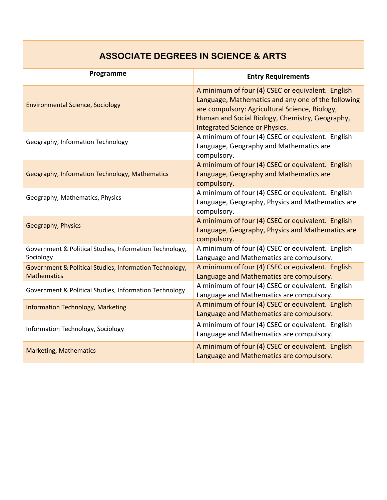# **ASSOCIATE DEGREES IN SCIENCE & ARTS**

| Programme                                                                     | <b>Entry Requirements</b>                                                                                                                                                                                                                             |
|-------------------------------------------------------------------------------|-------------------------------------------------------------------------------------------------------------------------------------------------------------------------------------------------------------------------------------------------------|
| <b>Environmental Science, Sociology</b>                                       | A minimum of four (4) CSEC or equivalent. English<br>Language, Mathematics and any one of the following<br>are compulsory: Agricultural Science, Biology,<br>Human and Social Biology, Chemistry, Geography,<br><b>Integrated Science or Physics.</b> |
| Geography, Information Technology                                             | A minimum of four (4) CSEC or equivalent. English<br>Language, Geography and Mathematics are<br>compulsory.                                                                                                                                           |
| Geography, Information Technology, Mathematics                                | A minimum of four (4) CSEC or equivalent. English<br>Language, Geography and Mathematics are<br>compulsory.                                                                                                                                           |
| Geography, Mathematics, Physics                                               | A minimum of four (4) CSEC or equivalent. English<br>Language, Geography, Physics and Mathematics are<br>compulsory.                                                                                                                                  |
| Geography, Physics                                                            | A minimum of four (4) CSEC or equivalent. English<br>Language, Geography, Physics and Mathematics are<br>compulsory.                                                                                                                                  |
| Government & Political Studies, Information Technology,<br>Sociology          | A minimum of four (4) CSEC or equivalent. English<br>Language and Mathematics are compulsory.                                                                                                                                                         |
| Government & Political Studies, Information Technology,<br><b>Mathematics</b> | A minimum of four (4) CSEC or equivalent. English<br>Language and Mathematics are compulsory.                                                                                                                                                         |
| Government & Political Studies, Information Technology                        | A minimum of four (4) CSEC or equivalent. English<br>Language and Mathematics are compulsory.                                                                                                                                                         |
| <b>Information Technology, Marketing</b>                                      | A minimum of four (4) CSEC or equivalent. English<br>Language and Mathematics are compulsory.                                                                                                                                                         |
| Information Technology, Sociology                                             | A minimum of four (4) CSEC or equivalent. English<br>Language and Mathematics are compulsory.                                                                                                                                                         |
| <b>Marketing, Mathematics</b>                                                 | A minimum of four (4) CSEC or equivalent. English<br>Language and Mathematics are compulsory.                                                                                                                                                         |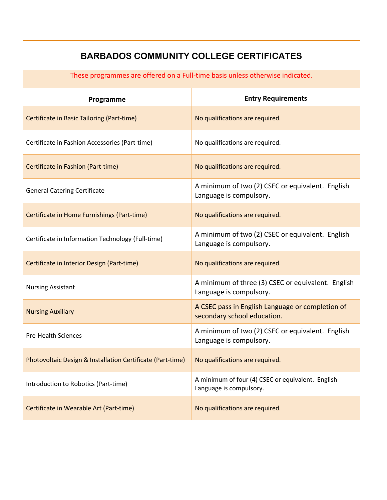### **BARBADOS COMMUNITY COLLEGE CERTIFICATES**

These programmes are offered on a Full-time basis unless otherwise indicated.

| Programme                                                  | <b>Entry Requirements</b>                                                       |
|------------------------------------------------------------|---------------------------------------------------------------------------------|
| Certificate in Basic Tailoring (Part-time)                 | No qualifications are required.                                                 |
| Certificate in Fashion Accessories (Part-time)             | No qualifications are required.                                                 |
| Certificate in Fashion (Part-time)                         | No qualifications are required.                                                 |
| <b>General Catering Certificate</b>                        | A minimum of two (2) CSEC or equivalent. English<br>Language is compulsory.     |
| Certificate in Home Furnishings (Part-time)                | No qualifications are required.                                                 |
| Certificate in Information Technology (Full-time)          | A minimum of two (2) CSEC or equivalent. English<br>Language is compulsory.     |
| Certificate in Interior Design (Part-time)                 | No qualifications are required.                                                 |
| <b>Nursing Assistant</b>                                   | A minimum of three (3) CSEC or equivalent. English<br>Language is compulsory.   |
| <b>Nursing Auxiliary</b>                                   | A CSEC pass in English Language or completion of<br>secondary school education. |
| <b>Pre-Health Sciences</b>                                 | A minimum of two (2) CSEC or equivalent. English<br>Language is compulsory.     |
| Photovoltaic Design & Installation Certificate (Part-time) | No qualifications are required.                                                 |
| Introduction to Robotics (Part-time)                       | A minimum of four (4) CSEC or equivalent. English<br>Language is compulsory.    |
| Certificate in Wearable Art (Part-time)                    | No qualifications are required.                                                 |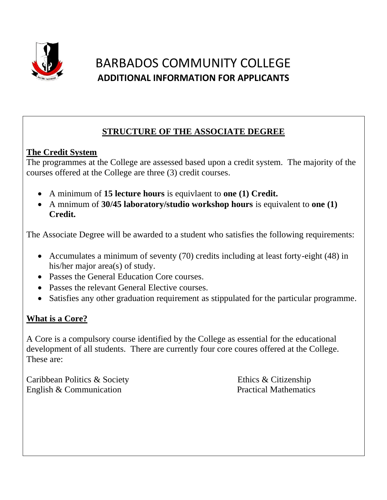

# BARBADOS COMMUNITY COLLEGE **ADDITIONAL INFORMATION FOR APPLICANTS**

# **STRUCTURE OF THE ASSOCIATE DEGREE**

### **The Credit System**

The programmes at the College are assessed based upon a credit system. The majority of the courses offered at the College are three (3) credit courses.

- A minimum of **15 lecture hours** is equivlaent to **one (1) Credit.**
- A mnimum of **30/45 laboratory/studio workshop hours** is equivalent to **one (1) Credit.**

The Associate Degree will be awarded to a student who satisfies the following requirements:

- Accumulates a minimum of seventy (70) credits including at least forty-eight (48) in his/her major area(s) of study.
- Passes the General Education Core courses.
- Passes the relevant General Elective courses.
- Satisfies any other graduation requirement as stippulated for the particular programme.

### **What is a Core?**

A Core is a compulsory course identified by the College as essential for the educational development of all students. There are currently four core coures offered at the College. These are:

Caribbean Politics & Society Ethics & Citizenship English & Communication Practical Mathematics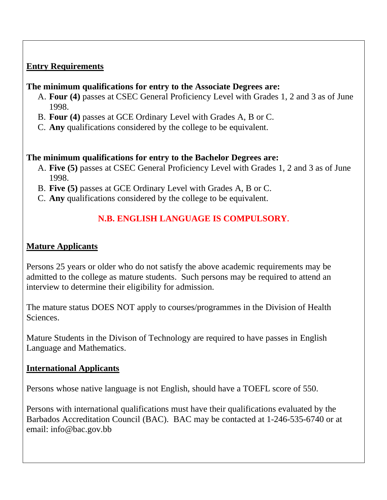### **Entry Requirements**

### **The minimum qualifications for entry to the Associate Degrees are:**

- A. **Four (4)** passes at CSEC General Proficiency Level with Grades 1, 2 and 3 as of June 1998.
- B. **Four (4)** passes at GCE Ordinary Level with Grades A, B or C.
- C. **Any** qualifications considered by the college to be equivalent.

### **The minimum qualifications for entry to the Bachelor Degrees are:**

- A. **Five (5)** passes at CSEC General Proficiency Level with Grades 1, 2 and 3 as of June 1998.
- B. **Five (5)** passes at GCE Ordinary Level with Grades A, B or C.
- C. **Any** qualifications considered by the college to be equivalent.

# **N.B. ENGLISH LANGUAGE IS COMPULSORY.**

### **Mature Applicants**

Persons 25 years or older who do not satisfy the above academic requirements may be admitted to the college as mature students. Such persons may be required to attend an interview to determine their eligibility for admission.

The mature status DOES NOT apply to courses/programmes in the Division of Health Sciences.

Mature Students in the Divison of Technology are required to have passes in English Language and Mathematics.

### **International Applicants**

Persons whose native language is not English, should have a TOEFL score of 550.

Persons with international qualifications must have their qualifications evaluated by the Barbados Accreditation Council (BAC). BAC may be contacted at 1-246-535-6740 or at email: info@bac.gov.bb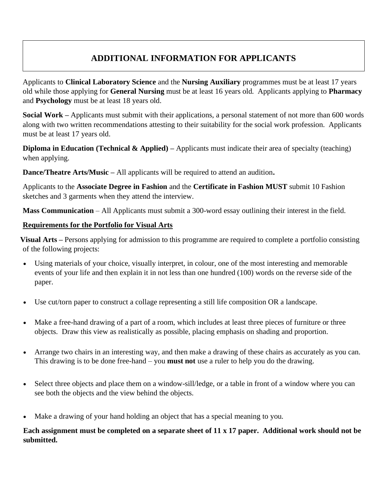### **ADDITIONAL INFORMATION FOR APPLICANTS**

Applicants to **Clinical Laboratory Science** and the **Nursing Auxiliary** programmes must be at least 17 years old while those applying for **General Nursing** must be at least 16 years old. Applicants applying to **Pharmacy** and **Psychology** must be at least 18 years old.

**Social Work –** Applicants must submit with their applications, a personal statement of not more than 600 words along with two written recommendations attesting to their suitability for the social work profession. Applicants must be at least 17 years old.

**Diploma in Education (Technical & Applied)** – Applicants must indicate their area of specialty (teaching) when applying.

**Dance/Theatre Arts/Music –** All applicants will be required to attend an audition**.**

Applicants to the **Associate Degree in Fashion** and the **Certificate in Fashion MUST** submit 10 Fashion sketches and 3 garments when they attend the interview.

**Mass Communication** – All Applicants must submit a 300-word essay outlining their interest in the field.

### **Requirements for the Portfolio for Visual Arts**

**Visual Arts –** Persons applying for admission to this programme are required to complete a portfolio consisting of the following projects:

- Using materials of your choice, visually interpret, in colour, one of the most interesting and memorable events of your life and then explain it in not less than one hundred (100) words on the reverse side of the paper.
- Use cut/torn paper to construct a collage representing a still life composition OR a landscape.
- Make a free-hand drawing of a part of a room, which includes at least three pieces of furniture or three objects. Draw this view as realistically as possible, placing emphasis on shading and proportion.
- Arrange two chairs in an interesting way, and then make a drawing of these chairs as accurately as you can. This drawing is to be done free-hand – you **must not** use a ruler to help you do the drawing.
- Select three objects and place them on a window-sill/ledge, or a table in front of a window where you can see both the objects and the view behind the objects.
- Make a drawing of your hand holding an object that has a special meaning to you.

**Each assignment must be completed on a separate sheet of 11 x 17 paper. Additional work should not be submitted.**